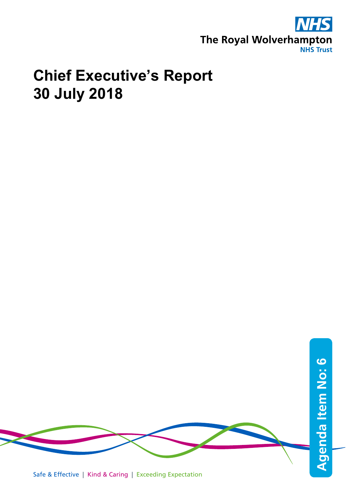

## **Chief Executive's Report 30 July 2018**

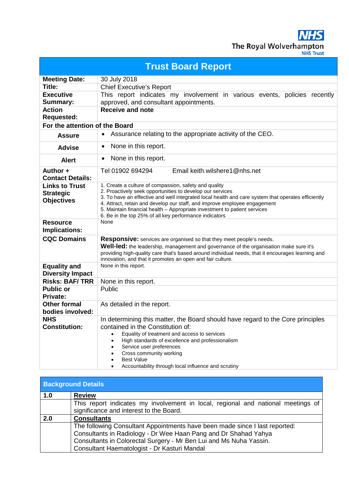**NHS** The Royal Wolverhampton

| <b>Trust Board Report</b>                        |                                                                                                                                     |  |
|--------------------------------------------------|-------------------------------------------------------------------------------------------------------------------------------------|--|
| <b>Meeting Date:</b>                             | 30 July 2018                                                                                                                        |  |
| Title:                                           | <b>Chief Executive's Report</b>                                                                                                     |  |
| <b>Executive</b>                                 | This report indicates my involvement in various events, policies<br>recently                                                        |  |
| Summary:                                         | approved, and consultant appointments.                                                                                              |  |
| <b>Action</b><br><b>Requested:</b>               | <b>Receive and note</b>                                                                                                             |  |
| For the attention of the Board                   |                                                                                                                                     |  |
| <b>Assure</b>                                    | Assurance relating to the appropriate activity of the CEO.<br>$\bullet$                                                             |  |
| <b>Advise</b>                                    | None in this report.<br>$\bullet$                                                                                                   |  |
| <b>Alert</b>                                     | None in this report.<br>$\bullet$                                                                                                   |  |
| Author +<br><b>Contact Details:</b>              | Tel 01902 694294<br>Email keith.wilshere1@nhs.net                                                                                   |  |
| <b>Links to Trust</b>                            | 1. Create a culture of compassion, safety and quality                                                                               |  |
| <b>Strategic</b>                                 | 2. Proactively seek opportunities to develop our services                                                                           |  |
| <b>Objectives</b>                                | 3. To have an effective and well integrated local health and care system that operates efficiently                                  |  |
|                                                  | 4. Attract, retain and develop our staff, and improve employee engagement                                                           |  |
|                                                  | 5. Maintain financial health - Appropriate investment to patient services<br>6. Be in the top 25% of all key performance indicators |  |
| <b>Resource</b>                                  | None                                                                                                                                |  |
| <b>Implications:</b>                             |                                                                                                                                     |  |
| <b>CQC Domains</b>                               | <b>Responsive:</b> services are organised so that they meet people's needs.                                                         |  |
|                                                  | <b>Well-led:</b> the leadership, management and governance of the organisation make sure it's                                       |  |
|                                                  | providing high-quality care that's based around individual needs, that it encourages learning and                                   |  |
|                                                  | innovation, and that it promotes an open and fair culture.<br>None in this report.                                                  |  |
| <b>Equality and</b>                              |                                                                                                                                     |  |
| <b>Diversity Impact</b><br><b>Risks: BAF/TRR</b> |                                                                                                                                     |  |
| <b>Public or</b>                                 | None in this report.<br>Public                                                                                                      |  |
| <b>Private:</b>                                  |                                                                                                                                     |  |
| <b>Other formal</b>                              | As detailed in the report.                                                                                                          |  |
| bodies involved:                                 |                                                                                                                                     |  |
| <b>NHS</b>                                       | In determining this matter, the Board should have regard to the Core principles                                                     |  |
| <b>Constitution:</b>                             | contained in the Constitution of:                                                                                                   |  |
|                                                  | Equality of treatment and access to services                                                                                        |  |
|                                                  | High standards of excellence and professionalism<br>Service user preferences                                                        |  |
|                                                  | Cross community working                                                                                                             |  |
|                                                  | <b>Best Value</b>                                                                                                                   |  |
|                                                  | Accountability through local influence and scrutiny<br>٠                                                                            |  |

| <b>Background Details</b> |                                                                                  |  |
|---------------------------|----------------------------------------------------------------------------------|--|
| 1.0                       | <b>Review</b>                                                                    |  |
|                           | This report indicates my involvement in local, regional and national meetings of |  |
|                           | significance and interest to the Board.                                          |  |
| 2.0                       | <b>Consultants</b>                                                               |  |
|                           | The following Consultant Appointments have been made since I last reported:      |  |
|                           | Consultants in Radiology - Dr Wee Haan Pang and Dr Shahad Yahya                  |  |
|                           | Consultants in Colorectal Surgery - Mr Ben Lui and Ms Nuha Yassin.               |  |
|                           | Consultant Haematologist - Dr Kasturi Mandal                                     |  |